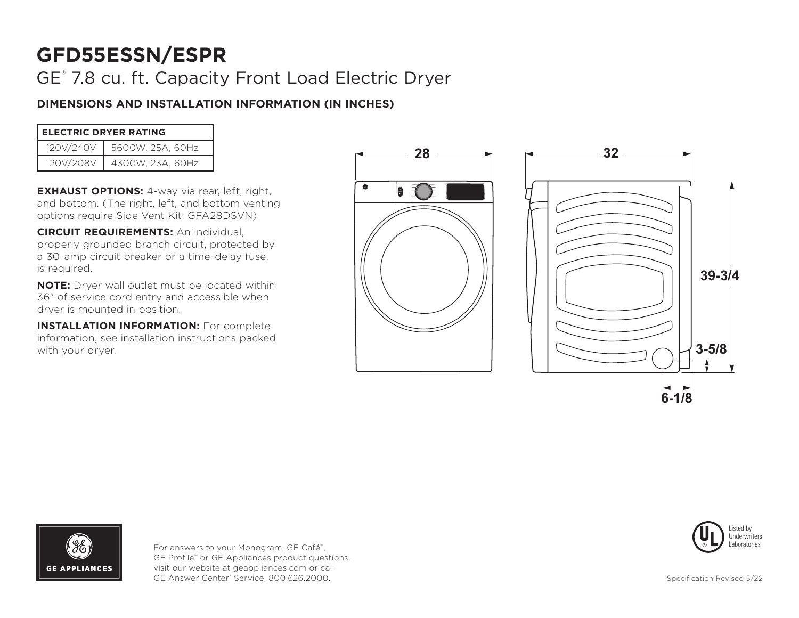# GE® 7.8 cu. ft. Capacity Front Load Electric Dryer

# **DIMENSIONS AND INSTALLATION INFORMATION (IN INCHES)**

| <b>ELECTRIC DRYER RATING</b> |                  |
|------------------------------|------------------|
| 120V/240V                    | 5600W, 25A, 60Hz |
| 120V/208V                    | 4300W, 23A, 60Hz |

**EXHAUST OPTIONS:** 4-way via rear, left, right, and bottom. (The right, left, and bottom venting options require Side Vent Kit: GFA28DSVN)

**CIRCUIT REQUIREMENTS:** An individual, properly grounded branch circuit, protected by a 30-amp circuit breaker or a time-delay fuse, is required.

**NOTE:** Dryer wall outlet must be located within 36" of service cord entry and accessible when dryer is mounted in position.

**INSTALLATION INFORMATION:** For complete information, see installation instructions packed with your dryer.







For answers to your Monogram, GE Café™, GE Profile™ or GE Appliances product questions, visit our website at geappliances.com or call GE Answer Center® Service, 800.626.2000.

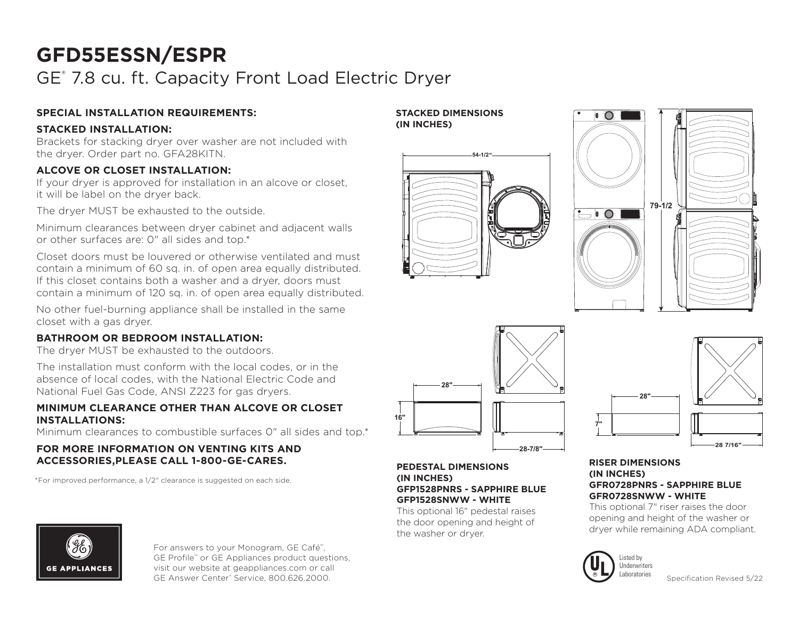# GE® 7.8 cu. ft. Capacity Front Load Electric Dryer

## **SPECIAL INSTALLATION REQUIREMENTS:**

# **STACKED INSTALLATION:**

Brackets for stacking dryer over washer are not included with the dryer. Order part no. GFA28KITN.

## **ALCOVE OR CLOSET INSTALLATION:**

If your dryer is approved for installation in an alcove or closet, it will be label on the dryer back.

The dryer MUST be exhausted to the outside.

Minimum clearances between dryer cabinet and adjacent walls or other surfaces are: 0" all sides and top.\*

Closet doors must be louvered or otherwise ventilated and must contain a minimum of 60 sq. in. of open area equally distributed. If this closet contains both a washer and a dryer, doors must contain a minimum of 120 sq. in. of open area equally distributed.

No other fuel-burning appliance shall be installed in the same closet with a gas dryer.

## **BATHROOM OR BEDROOM INSTALLATION:**

The dryer MUST be exhausted to the outdoors.

The installation must conform with the local codes, or in the absence of local codes, with the National Electric Code and National Fuel Gas Code, ANSI Z223 for gas dryers.

### **MINIMUM CLEARANCE OTHER THAN ALCOVE OR CLOSET INSTALLATIONS:**

Minimum clearances to combustible surfaces 0" all sides and top.\*

## **FOR MORE INFORMATION ON VENTING KITS AND ACCESSORIES,PLEASE CALL 1-800-GE-CARES.**

\*For improved performance, a 1/2" clearance is suggested on each side.

#### **STACKED DIMENSIONS (IN INCHES)**







#### **PEDESTAL DIMENSIONS (IN INCHES) GFP1528PNRS - SAPPHIRE BLUE GFP1528SNWW - WHITE**

This optional 16" pedestal raises the door opening and height of the washer or dryer.



#### **RISER DIMENSIONS (IN INCHES) GFR0728PNRS - SAPPHIRE BLUE GFR0728SNWW - WHITE**

This optional 7" riser raises the door opening and height of the washer or dryer while remaining ADA compliant.



**7"**



For answers to your Monogram, GE Café™, GE Profile™ or GE Appliances product questions, visit our website at geappliances.com or call GE Answer Center® Service, 800.626.2000.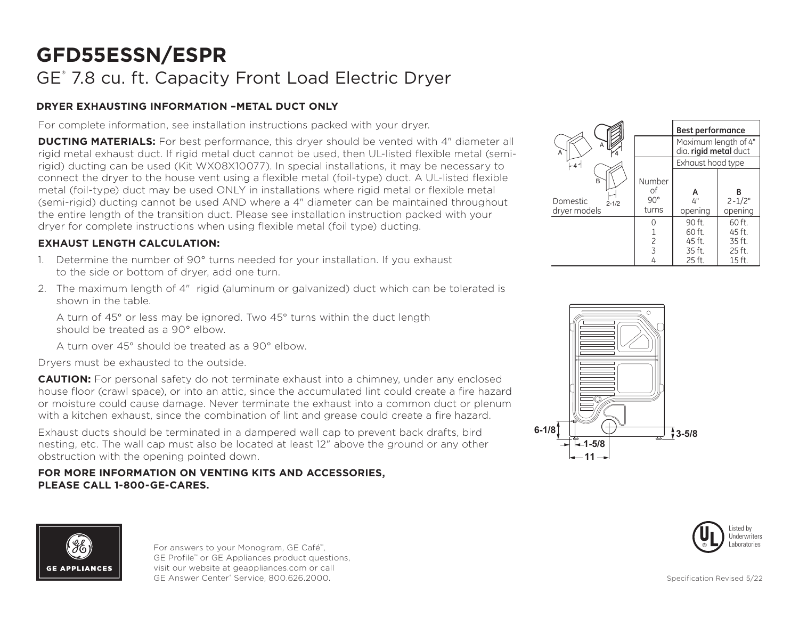# GE® 7.8 cu. ft. Capacity Front Load Electric Dryer

# **DRYER EXHAUSTING INFORMATION –METAL DUCT ONLY**

For complete information, see installation instructions packed with your dryer.

**DUCTING MATERIALS:** For best performance, this dryer should be vented with 4" diameter all rigid metal exhaust duct. If rigid metal duct cannot be used, then UL-listed flexible metal (semirigid) ducting can be used (Kit WX08X10077). In special installations, it may be necessary to connect the dryer to the house vent using a flexible metal (foil-type) duct. A UL-listed flexible metal (foil-type) duct may be used ONLY in installations where rigid metal or flexible metal (semi-rigid) ducting cannot be used AND where a 4" diameter can be maintained throughout the entire length of the transition duct. Please see installation instruction packed with your dryer for complete instructions when using flexible metal (foil type) ducting.

## **EXHAUST LENGTH CALCULATION:**

- 1. Determine the number of 90° turns needed for your installation. If you exhaust to the side or bottom of dryer, add one turn.
- 2. The maximum length of 4" rigid (aluminum or galvanized) duct which can be tolerated is shown in the table.

A turn of 45° or less may be ignored. Two 45° turns within the duct length should be treated as a 90° elbow.

A turn over 45° should be treated as a 90° elbow.

Dryers must be exhausted to the outside.

**CAUTION:** For personal safety do not terminate exhaust into a chimney, under any enclosed house floor (crawl space), or into an attic, since the accumulated lint could create a fire hazard or moisture could cause damage. Never terminate the exhaust into a common duct or plenum with a kitchen exhaust, since the combination of lint and grease could create a fire hazard.

Exhaust ducts should be terminated in a dampered wall cap to prevent back drafts, bird nesting, etc. The wall cap must also be located at least 12" above the ground or any other obstruction with the opening pointed down.

### **FOR MORE INFORMATION ON VENTING KITS AND ACCESSORIES, PLEASE CALL 1-800-GE-CARES.**